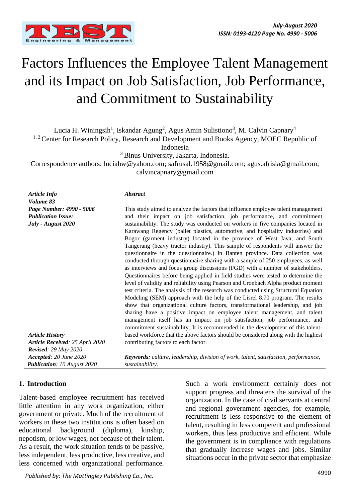

# Factors Influences the Employee Talent Management and its Impact on Job Satisfaction, Job Performance, and Commitment to Sustainability

Lucia H. Winingsih<sup>1</sup>, Iskandar Agung<sup>2</sup>, Agus Amin Sulistiono<sup>3</sup>, M. Calvin Capnary<sup>4</sup>

<sup>1, 2</sup> Center for Research Policy, Research and Development and Books Agency, MOEC Republic of

Indonesia

<sup>3</sup> Binus University, Jakarta, Indonesia.

Correspondence authors: luciahw@yahoo.com; safrusal.1958@gmail.com; agus.afrisia@gmail.com; calvincapnary@gmail.com

*Article Info Volume 83 Page Number: 4990 - 5006 Publication Issue: July - August 2020*

#### *Abstract*

This study aimed to analyze the factors that influence employee talent management and their impact on job satisfaction, job performance, and commitment sustainability. The study was conducted on workers in five companies located in Karawang Regency (pallet plastics, automotive, and hospitality industries) and Bogor (garment industry) located in the province of West Java, and South Tangerang (heavy tractor industry). This sample of respondents will answer the questionnaire in the questionnaire.) in Banten province. Data collection was conducted through questionnaire sharing with a sample of 250 employees, as well as interviews and focus group discussions (FGD) with a number of stakeholders. Questionnaires before being applied in field studies were tested to determine the level of validity and reliability using Pearson and Cronbach Alpha product moment test criteria. The analysis of the research was conducted using Structural Equation Modeling (SEM) approach with the help of the Lisrel 8.70 program. The results show that organizational culture factors, transformational leadership, and job sharing have a positive impact on employee talent management, and talent management itself has an impact on job satisfaction, job performance, and commitment sustainability. It is recommended in the development of this talentbased workforce that the above factors should be considered along with the highest contributing factors to each factor.

*Article History Article Received: 25 April 2020 Revised: 29 May 2020 Accepted: 20 June 2020 Publication: 10 August 2020*

*Keywords: culture, leadership, division of work, talent, satisfaction, performance, sustainability.*

#### **1. Introduction**

Talent-based employee recruitment has received little attention in any work organization, either government or private. Much of the recruitment of workers in these two institutions is often based on educational background (diploma), kinship, nepotism, or low wages, not because of their talent. As a result, the work situation tends to be passive, less independent, less productive, less creative, and less concerned with organizational performance.

Such a work environment certainly does not support progress and threatens the survival of the organization. In the case of civil servants at central and regional government agencies, for example, recruitment is less responsive to the element of talent, resulting in less competent and professional workers, thus less productive and efficient. While the government is in compliance with regulations that gradually increase wages and jobs. Similar situations occur in the private sector that emphasize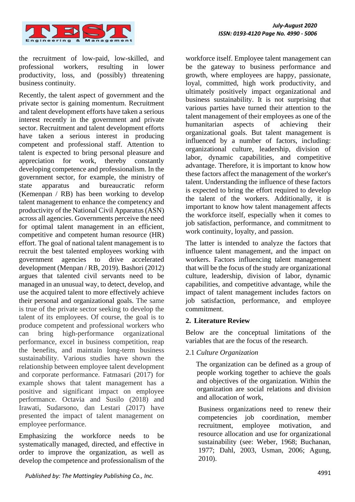

the recruitment of low-paid, low-skilled, and professional workers, resulting in lower productivity, loss, and (possibly) threatening business continuity.

Recently, the talent aspect of government and the private sector is gaining momentum. Recruitment and talent development efforts have taken a serious interest recently in the government and private sector. Recruitment and talent development efforts have taken a serious interest in producing competent and professional staff. Attention to talent is expected to bring personal pleasure and appreciation for work, thereby constantly developing competence and professionalism. In the government sector, for example, the ministry of state apparatus and bureaucratic reform (Kemenpan / RB) has been working to develop talent management to enhance the competency and productivity of the National Civil Apparatus (ASN) across all agencies. Governments perceive the need for optimal talent management in an efficient, competitive and competent human resource (HR) effort. The goal of national talent management is to recruit the best talented employees working with government agencies to drive accelerated development (Menpan / RB, 2019). Bashori (2012) argues that talented civil servants need to be managed in an unusual way, to detect, develop, and use the acquired talent to more effectively achieve their personal and organizational goals. The same is true of the private sector seeking to develop the talent of its employees. Of course, the goal is to produce competent and professional workers who can bring high-performance organizational performance, excel in business competition, reap the benefits, and maintain long-term business sustainability. Various studies have shown the relationship between employee talent development and corporate performance. Fatmasari (2017) for example shows that talent management has a positive and significant impact on employee performance. Octavia and Susilo (2018) and Irawati, Sudarsono, dan Lestari (2017) have presented the impact of talent management on employee performance.

Emphasizing the workforce needs to be systematically managed, directed, and effective in order to improve the organization, as well as develop the competence and professionalism of the workforce itself. Employee talent management can be the gateway to business performance and growth, where employees are happy, passionate, loyal, committed, high work productivity, and ultimately positively impact organizational and business sustainability. It is not surprising that various parties have turned their attention to the talent management of their employees as one of the humanitarian aspects of achieving their organizational goals. But talent management is influenced by a number of factors, including: organizational culture, leadership, division of labor, dynamic capabilities, and competitive advantage. Therefore, it is important to know how these factors affect the management of the worker's talent. Understanding the influence of these factors is expected to bring the effort required to develop the talent of the workers. Additionally, it is important to know how talent management affects the workforce itself, especially when it comes to job satisfaction, performance, and commitment to work continuity, loyalty, and passion.

The latter is intended to analyze the factors that influence talent management, and the impact on workers. Factors influencing talent management that will be the focus of the study are organizational culture, leadership, division of labor, dynamic capabilities, and competitive advantage, while the impact of talent management includes factors on job satisfaction, performance, and employee commitment.

#### **2. Literature Review**

Below are the conceptual limitations of the variables that are the focus of the research.

2.1 *Culture Organization*

The organization can be defined as a group of people working together to achieve the goals and objectives of the organization. Within the organization are social relations and division and allocation of work,

Business organizations need to renew their competencies job coordination, member recruitment, employee motivation, and resource allocation and use for organizational sustainability (see: Weber, 1968; Buchanan, 1977; Dahl, 2003, Usman, 2006; Agung, 2010).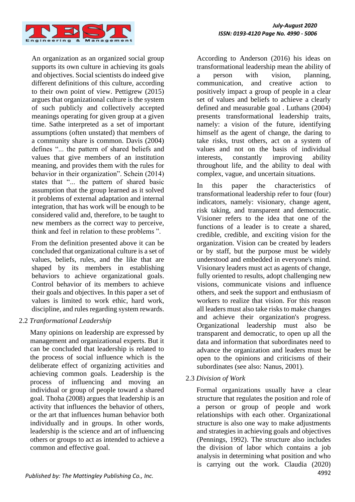

An organization as an organized social group supports its own culture in achieving its goals and objectives. Social scientists do indeed give different definitions of this culture, according to their own point of view. Pettigrew (2015) argues that organizational culture is the system of such publicly and collectively accepted meanings operating for given group at a given time. Sathe interpreted as a set of important assumptions (often unstated) that members of a community share is common. Davis (2004) defines "... the pattern of shared beliefs and values that give members of an institution meaning, and provides them with the rules for behavior in their organization". Schein (2014) states that "... the pattern of shared basic assumption that the group learned as it solved it problems of external adaptation and internal integration, that has work will be enough to be considered valid and, therefore, to be taught to new members as the correct way to perceive, think and feel in relation to these problems ".

From the definition presented above it can be concluded that organizational culture is a set of values, beliefs, rules, and the like that are shaped by its members in establishing behaviors to achieve organizational goals. Control behavior of its members to achieve their goals and objectives. In this paper a set of values is limited to work ethic, hard work, discipline, and rules regarding system rewards.

## 2.2 *Tranformational Leadership*

Many opinions on leadership are expressed by management and organizational experts. But it can be concluded that leadership is related to the process of social influence which is the deliberate effect of organizing activities and achieving common goals. Leadership is the process of influencing and moving an individual or group of people toward a shared goal. Thoha (2008) argues that leadership is an activity that influences the behavior of others, or the art that influences human behavior both individually and in groups. In other words, leadership is the science and art of influencing others or groups to act as intended to achieve a common and effective goal.

According to Anderson (2016) his ideas on transformational leadership mean the ability of a person with vision, planning, communication, and creative action to positively impact a group of people in a clear set of values and beliefs to achieve a clearly defined and measurable goal . Luthans (2004) presents transformational leadership traits, namely: a vision of the future, identifying himself as the agent of change, the daring to take risks, trust others, act on a system of values and not on the basis of individual interests, constantly improving ability throughout life, and the ability to deal with complex, vague, and uncertain situations.

In this paper the characteristics of transformational leadership refer to four (four) indicators, namely: visionary, change agent, risk taking, and transparent and democratic. Visioner refers to the idea that one of the functions of a leader is to create a shared, credible, credible, and exciting vision for the organization. Vision can be created by leaders or by staff, but the purpose must be widely understood and embedded in everyone's mind. Visionary leaders must act as agents of change, fully oriented to results, adopt challenging new visions, communicate visions and influence others, and seek the support and enthusiasm of workers to realize that vision. For this reason all leaders must also take risks to make changes and achieve their organization's progress. Organizational leadership must also be transparent and democratic, to open up all the data and information that subordinates need to advance the organization and leaders must be open to the opinions and criticisms of their subordinates (see also: Nanus, 2001).

## 2.3 *Division of Work*

Formal organizations usually have a clear structure that regulates the position and role of a person or group of people and work relationships with each other. Organizational structure is also one way to make adjustments and strategies in achieving goals and objectives (Pennings, 1992). The structure also includes the division of labor which contains a job analysis in determining what position and who is carrying out the work. Claudia (2020)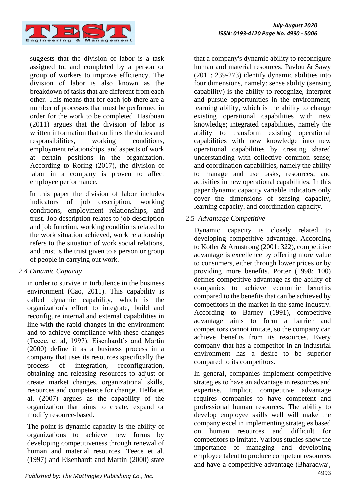

suggests that the division of labor is a task assigned to, and completed by a person or group of workers to improve efficiency. The division of labor is also known as the breakdown of tasks that are different from each other. This means that for each job there are a number of processes that must be performed in order for the work to be completed. Hasibuan (2011) argues that the division of labor is written information that outlines the duties and responsibilities, working conditions, employment relationships, and aspects of work at certain positions in the organization. According to Roring (2017), the division of labor in a company is proven to affect employee performance.

In this paper the division of labor includes indicators of job description, working conditions, employment relationships, and trust. Job description relates to job description and job function, working conditions related to the work situation achieved, work relationship refers to the situation of work social relations, and trust is the trust given to a person or group of people in carrying out work.

## *2.4 Dinamic Capacity*

in order to survive in turbulence in the business environment (Cao, 2011). This capability is called dynamic capability, which is the organization's effort to integrate, build and reconfigure internal and external capabilities in line with the rapid changes in the environment and to achieve compliance with these changes (Teece, et al, 1997). Eisenhardt's and Martin (2000) define it as a business process in a company that uses its resources specifically the process of integration, reconfiguration, obtaining and releasing resources to adjust or create market changes, organizational skills, resources and competence for change. Helfat et al. (2007) argues as the capability of the organization that aims to create, expand or modify resource-based.

The point is dynamic capacity is the ability of organizations to achieve new forms by developing competitiveness through renewal of human and material resources. Teece et al. (1997) and Eisenhardt and Martin (2000) state

that a company's dynamic ability to reconfigure human and material resources. Pavlou & Sawy (2011: 239-273) identify dynamic abilities into four dimensions, namely: sense ability (sensing capability) is the ability to recognize, interpret and pursue opportunities in the environment; learning ability, which is the ability to change existing operational capabilities with new knowledge; integrated capabilities, namely the ability to transform existing operational capabilities with new knowledge into new operational capabilities by creating shared understanding with collective common sense; and coordination capabilities, namely the ability to manage and use tasks, resources, and activities in new operational capabilities. In this paper dynamic capacity variable indicators only cover the dimensions of sensing capacity, learning capacity, and coordination capacity.

## 2.5 *Advantage Competitive*

Dynamic capacity is closely related to developing competitive advantage. According to Kotler & Armstrong (2001: 322), competitive advantage is excellence by offering more value to consumers, either through lower prices or by providing more benefits. Porter (1998: 100) defines competitive advantage as the ability of companies to achieve economic benefits compared to the benefits that can be achieved by competitors in the market in the same industry. According to Barney (1991), competitive advantage aims to form a barrier and competitors cannot imitate, so the company can achieve benefits from its resources. Every company that has a competitor in an industrial environment has a desire to be superior compared to its competitors.

In general, companies implement competitive strategies to have an advantage in resources and expertise. Implicit competitive advantage requires companies to have competent and professional human resources. The ability to develop employee skills well will make the company excel in implementing strategies based on human resources and difficult for competitors to imitate. Various studies show the importance of managing and developing employee talent to produce competent resources and have a competitive advantage (Bharadwaj,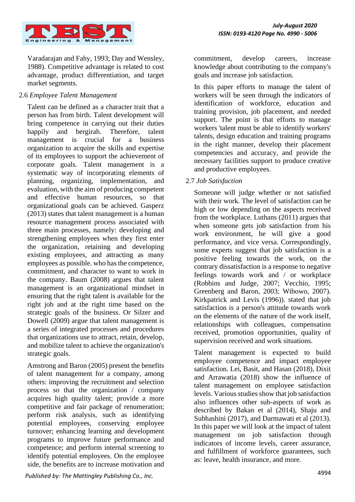

Varadarajan and Fahy, 1993; Day and Wensley, 1988). Competitive advantage is related to cost advantage, product differentiation, and target market segments.

## 2.6 *Employee Talent Management*

Talent can be defined as a character trait that a person has from birth. Talent development will bring competence in carrying out their duties happily and bergirah. Therefore, talent management is crucial for a business organization to acquire the skills and expertise of its employees to support the achievement of corporate goals. Talent management is a systematic way of incorporating elements of planning, organizing, implementation, and evaluation, with the aim of producing competent and effective human resources, so that organizational goals can be achieved. Gasperz (2013) states that talent management is a human resource management process associated with three main processes, namely: developing and strengthening employees when they first enter the organization, retaining and developing existing employees, and attracting as many employees as possible. who has the competence, commitment, and character to want to work in the company. Baum (2008) argues that talent management is an organizational mindset in ensuring that the right talent is available for the right job and at the right time based on the strategic goals of the business. Or Silzer and Dowell (2009) argue that talent management is a series of integrated processes and procedures that organizations use to attract, retain, develop, and mobilize talent to achieve the organization's strategic goals.

Amstrong and Baron (2005) present the benefits of talent management for a company, among others: improving the recruitment and selection process so that the organization / company acquires high quality talent; provide a more competitive and fair package of renumeration; perform risk analysis, such as identifying potential employees, conserving employee turnover; enhancing learning and development programs to improve future performance and competence; and perform internal screening to identify potential employees. On the employee side, the benefits are to increase motivation and commitment, develop careers, increase knowledge about contributing to the company's goals and increase job satisfaction.

In this paper efforts to manage the talent of workers will be seen through the indicators of identification of workforce, education and training provision, job placement, and needed support. The point is that efforts to manage workers 'talent must be able to identify workers' talents, design education and training programs in the right manner, develop their placement competencies and accuracy, and provide the necessary facilities support to produce creative and productive employees.

## 2.7 *Job Satisfaction*

Someone will judge whether or not satisfied with their work. The level of satisfaction can be high or low depending on the aspects received from the workplace. Luthans (2011) argues that when someone gets job satisfaction from his work environment, he will give a good performance, and vice versa. Correspondingly, some experts suggest that job satisfaction is a positive feeling towards the work, on the contrary dissatisfaction is a response to negative feelings towards work and / or workplace (Robbins and Judge, 2007; Vecchio, 1995; Greenberg and Baron, 2003; Wibowo, 2007). Kirkpatrick and Levis (1996)). stated that job satisfaction is a person's attitude towards work on the elements of the nature of the work itself, relationships with colleagues, compensation received, promotion opportunities, quality of supervision received and work situations.

Talent management is expected to build employee competence and impact employee satisfaction. Lei, Basit, and Hasan (2018), Dixit and Arrawatia (2018) show the influence of talent management on employee satisfaction levels. Various studies show that job satisfaction also influences other sub-aspects of work as described by Bakan et al (2014), Shaju and Subhashini (2017), and Darmawati et al (2013). In this paper we will look at the impact of talent management on job satisfaction through indicators of income levels, career assurance, and fulfillment of workforce guarantees, such as: leave, health insurance, and more.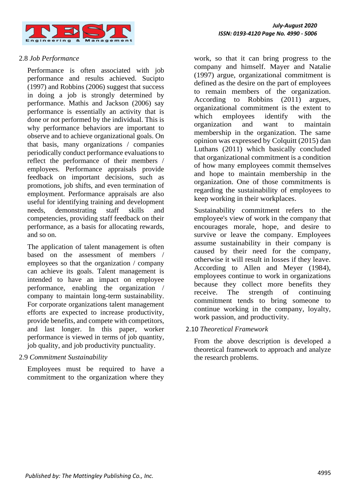

## 2.8 *Job Performance*

Performance is often associated with job performance and results achieved. Sucipto (1997) and Robbins (2006) suggest that success in doing a job is strongly determined by performance. Mathis and Jackson (2006) say performance is essentially an activity that is done or not performed by the individual. This is why performance behaviors are important to observe and to achieve organizational goals. On that basis, many organizations / companies periodically conduct performance evaluations to reflect the performance of their members / employees. Performance appraisals provide feedback on important decisions, such as promotions, job shifts, and even termination of employment. Performance appraisals are also useful for identifying training and development needs, demonstrating staff skills and competencies, providing staff feedback on their performance, as a basis for allocating rewards, and so on.

The application of talent management is often based on the assessment of members / employees so that the organization / company can achieve its goals. Talent management is intended to have an impact on employee performance, enabling the organization / company to maintain long-term sustainability. For corporate organizations talent management efforts are expected to increase productivity, provide benefits, and compete with competitors, and last longer. In this paper, worker performance is viewed in terms of job quantity, job quality, and job productivity punctuality.

#### 2.9 *Commitment Sustainability*

Employees must be required to have a commitment to the organization where they work, so that it can bring progress to the company and himself. Mayer and Natalie (1997) argue, organizational commitment is defined as the desire on the part of employees to remain members of the organization. According to Robbins (2011) argues, organizational commitment is the extent to which employees identify with the organization and want to maintain membership in the organization. The same opinion was expressed by Colquitt (2015) dan Luthans (2011) which basically concluded that organizational commitment is a condition of how many employees commit themselves and hope to maintain membership in the organization. One of those commitments is regarding the sustainability of employees to keep working in their workplaces.

Sustainability commitment refers to the employee's view of work in the company that encourages morale, hope, and desire to survive or leave the company. Employees assume sustainability in their company is caused by their need for the company, otherwise it will result in losses if they leave. According to Allen and Meyer (1984), employees continue to work in organizations because they collect more benefits they receive. The strength of continuing commitment tends to bring someone to continue working in the company, loyalty, work passion, and productivity.

2.10 *Theoretical Framework*

From the above description is developed a theoretical framework to approach and analyze the research problems.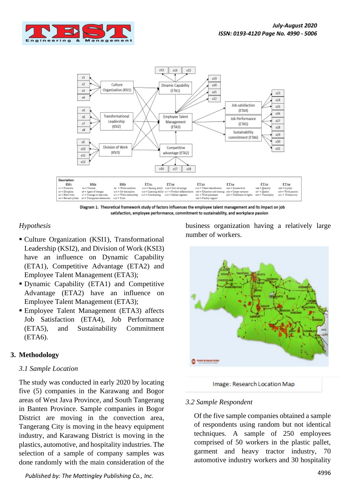



Diagram 1. Theoretical framework study of factors influences the employee talent management and its impact on job satisfaction, employee performance, commitment to sustainability, and workplace passion

## *Hypothesis*

- Culture Organization (KSI1), Transformational Leadership (KSI2), and Division of Work (KSI3) have an influence on Dynamic Capability (ETA1), Competitive Advantage (ETA2) and Employee Talent Management (ETA3);
- Dynamic Capability (ETA1) and Competitive Advantage (ETA2) have an influence on Employee Talent Management (ETA3);
- Employee Talent Management (ETA3) affects Job Satisfaction (ETA4), Job Performance (ETA5), and Sustainability Commitment (ETA6).

## **3. Methodology**

#### *3.1 Sample Location*

The study was conducted in early 2020 by locating five (5) companies in the Karawang and Bogor areas of West Java Province, and South Tangerang in Banten Province. Sample companies in Bogor District are moving in the convection area, Tangerang City is moving in the heavy equipment industry, and Karawang District is moving in the plastics, automotive, and hospitality industries. The selection of a sample of company samples was done randomly with the main consideration of the

<sup>4996</sup> *Published by: The Mattingley Publishing Co., Inc.*

business organization having a relatively large number of workers.



Image: Research Location Map

#### *3.2 Sample Respondent*

Of the five sample companies obtained a sample of respondents using random but not identical techniques. A sample of 250 employees comprised of 50 workers in the plastic pallet, garment and heavy tractor industry, 70 automotive industry workers and 30 hospitality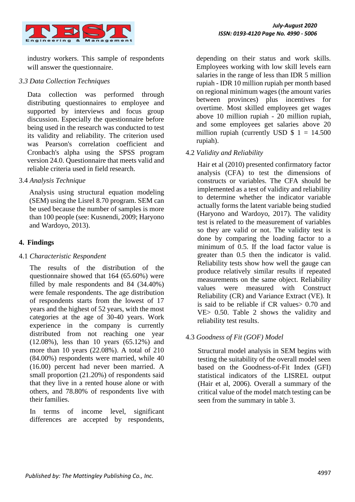

industry workers. This sample of respondents will answer the questionnaire.

## *3.3 Data Collection Techniques*

Data collection was performed through distributing questionnaires to employee and supported by interviews and focus group discussion. Especially the questionnaire before being used in the research was conducted to test its validity and reliability. The criterion used was Pearson's correlation coefficient and Cronbach's alpha using the SPSS program version 24.0. Questionnaire that meets valid and reliable criteria used in field research.

## 3.4 *Analysis Technique*

Analysis using structural equation modeling (SEM) using the Lisrel 8.70 program. SEM can be used because the number of samples is more than 100 people (see: Kusnendi, 2009; Haryono and Wardoyo, 2013).

## **4. Findings**

#### 4.1 *Characteristic Respondent*

The results of the distribution of the questionnaire showed that 164 (65.60%) were filled by male respondents and 84 (34.40%) were female respondents. The age distribution of respondents starts from the lowest of 17 years and the highest of 52 years, with the most categories at the age of 30-40 years. Work experience in the company is currently distributed from not reaching one year (12.08%), less than 10 years (65.12%) and more than 10 years (22.08%). A total of 210 (84.00%) respondents were married, while 40 (16.00) percent had never been married. A small proportion (21.20%) of respondents said that they live in a rented house alone or with others, and 78.80% of respondents live with their families.

In terms of income level, significant differences are accepted by respondents,

depending on their status and work skills. Employees working with low skill levels earn salaries in the range of less than IDR 5 million rupiah - IDR 10 million rupiah per month based on regional minimum wages (the amount varies between provinces) plus incentives for overtime. Most skilled employees get wages above 10 million rupiah - 20 million rupiah, and some employees get salaries above 20 million rupiah (currently USD  $$ 1 = 14.500$ rupiah).

## 4.2 *Validity and Reliability*

Hair et al (2010) presented confirmatory factor analysis (CFA) to test the dimensions of constructs or variables. The CFA should be implemented as a test of validity and reliability to determine whether the indicator variable actually forms the latent variable being studied (Haryono and Wardoyo, 2017). The validity test is related to the measurement of variables so they are valid or not. The validity test is done by comparing the loading factor to a minimum of 0.5. If the load factor value is greater than 0.5 then the indicator is valid. Reliability tests show how well the gauge can produce relatively similar results if repeated measurements on the same object. Reliability values were measured with Construct Reliability (CR) and Variance Extract (VE). It is said to be reliable if CR values> 0.70 and VE> 0.50. Table 2 shows the validity and reliability test results.

## 4.3 *Goodness of Fit (GOF) Model*

Structural model analysis in SEM begins with testing the suitability of the overall model seen based on the Goodness-of-Fit Index (GFI) statistical indicators of the LISREL output (Hair et al, 2006). Overall a summary of the critical value of the model match testing can be seen from the summary in table 3.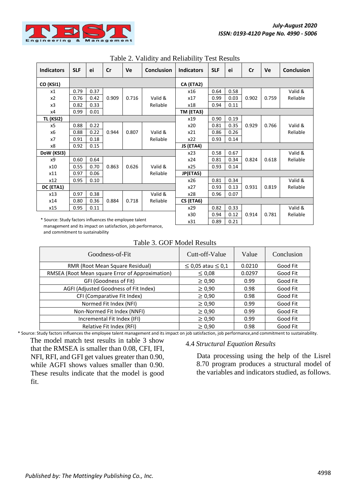

| <b>Indicators</b>                                      | <b>SLF</b> | ei   | Cr    | Ve    | <b>Conclusion</b> | <b>Indicators</b> | <b>SLF</b> | ei   | cr    | Ve    | <b>Conclusion</b> |
|--------------------------------------------------------|------------|------|-------|-------|-------------------|-------------------|------------|------|-------|-------|-------------------|
|                                                        |            |      |       |       |                   |                   |            |      |       |       |                   |
| CO (KSI1)                                              |            |      |       |       |                   | CA (ETA2)         |            |      |       |       |                   |
| x1                                                     | 0.79       | 0.37 |       |       |                   | x16               | 0.64       | 0.58 |       |       | Valid &           |
| x <sub>2</sub>                                         | 0.76       | 0.42 | 0.909 | 0.716 | Valid &           | x17               | 0.99       | 0.03 | 0.902 | 0.759 | Reliable          |
| x3                                                     | 0.82       | 0.33 |       |       | Reliable          | x18               | 0.94       | 0.11 |       |       |                   |
| x4                                                     | 0.99       | 0.01 |       |       |                   | TM (ETA3)         |            |      |       |       |                   |
| TL (KSI2)                                              |            |      |       |       |                   | x19               | 0.90       | 0.19 |       |       |                   |
| x5                                                     | 0.88       | 0.22 |       |       |                   | x20               | 0.81       | 0.35 | 0.929 | 0.766 | Valid &           |
| x6                                                     | 0.88       | 0.22 | 0.944 | 0.807 | Valid &           | x21               | 0.86       | 0.26 |       |       | Reliable          |
| x7                                                     | 0.91       | 0.18 |       |       | Reliable          | x22               | 0.93       | 0.14 |       |       |                   |
| x8                                                     | 0.92       | 0.15 |       |       |                   | JS (ETA4)         |            |      |       |       |                   |
| DoW (KSI3)                                             |            |      |       |       |                   | x23               | 0.58       | 0.67 |       |       | Valid &           |
| x9                                                     | 0.60       | 0.64 |       |       |                   | x24               | 0.81       | 0.34 | 0.824 | 0.618 | Reliable          |
| x10                                                    | 0.55       | 0.70 | 0.863 | 0.626 | Valid &           | x25               | 0.93       | 0.14 |       |       |                   |
| x11                                                    | 0.97       | 0.06 |       |       | Reliable          | JP(ETA5)          |            |      |       |       |                   |
| x12                                                    | 0.95       | 0.10 |       |       |                   | x26               | 0.81       | 0.34 |       |       | Valid &           |
| DC (ETA1)                                              |            |      |       |       |                   | x27               | 0.93       | 0.13 | 0.931 | 0.819 | Reliable          |
| x13                                                    | 0.97       | 0.38 |       |       | Valid &           | x28               | 0.96       | 0.07 |       |       |                   |
| x14                                                    | 0.80       | 0.36 | 0.884 | 0.718 | Reliable          | CS (ETA6)         |            |      |       |       |                   |
| x15                                                    | 0.95       | 0.11 |       |       |                   | x29               | 0.82       | 0.33 |       |       | Valid &           |
|                                                        |            |      |       |       |                   | x30               | 0.94       | 0.12 | 0.914 | 0.781 | Reliable          |
| * Source: Study factors influences the employee talent |            |      |       | x31   | 0.89              | 0.21              |            |      |       |       |                   |

#### Table 2. Validity and Reliability Test Results

\* Source: Study factors influences the employee talent management and its impact on satisfaction, job performance, and commitment to sustainability

Table 3. GOF Model Results

| Goodness-of-Fit                                 | Cutt-off-Value              | Value  | Conclusion |
|-------------------------------------------------|-----------------------------|--------|------------|
| RMR (Root Mean Square Residual)                 | $\leq$ 0,05 atau $\leq$ 0,1 | 0.0210 | Good Fit   |
| RMSEA (Root Mean square Error of Approximation) | $\leq 0.08$                 | 0.0297 | Good Fit   |
| GFI (Goodness of Fit)                           | $\geq 0.90$                 | 0.99   | Good Fit   |
| AGFI (Adjusted Goodness of Fit Index)           | $\geq 0.90$                 | 0.98   | Good Fit   |
| CFI (Comparative Fit Index)                     | $\geq 0.90$                 | 0.98   | Good Fit   |
| Normed Fit Index (NFI)                          | $\geq 0.90$                 | 0.99   | Good Fit   |
| Non-Normed Fit Index (NNFI)                     | $\geq 0.90$                 | 0.99   | Good Fit   |
| Incremental Fit Index (IFI)                     | $\geq 0.90$                 | 0.99   | Good Fit   |
| Relative Fit Index (RFI)                        | $\geq 0.90$                 | 0.98   | Good Fit   |

\* Source: Study factors influences the employee talent management and its impact on job satisfaction, job performance,and commitment to sustainability.

The model match test results in table 3 show that the RMSEA is smaller than 0.08, CFI, IFI, NFI, RFI, and GFI get values greater than 0.90, while AGFI shows values smaller than 0.90. These results indicate that the model is good fit.

#### 4.4 *Structural Equation Results*

Data processing using the help of the Lisrel 8.70 program produces a structural model of the variables and indicators studied, as follows.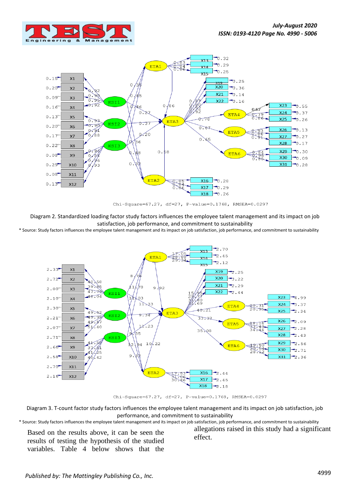



Chi-Square=67.27, df=27, P-value=0.1768, RMSEA=0.0297

Diagram 2. Standardized loading factor study factors influences the employee talent management and its impact on job satisfaction, job performance, and commitment to sustainability

\* Source: Study factors influences the employee talent management and its impact on job satisfaction, job performance, and commitment to sustainability



Chi-Square=67.27, df=27, P-value=0.1768, RMSEA=0.0297

Diagram 3. T-count factor study factors influences the employee talent management and its impact on job satisfaction, job performance, and commitment to sustainability

\* Source: Study factors influences the employee talent management and its impact on job satisfaction, job performance, and commitment to sustainability

Based on the results above, it can be seen the results of testing the hypothesis of the studied variables. Table 4 below shows that the allegations raised in this study had a significant effect.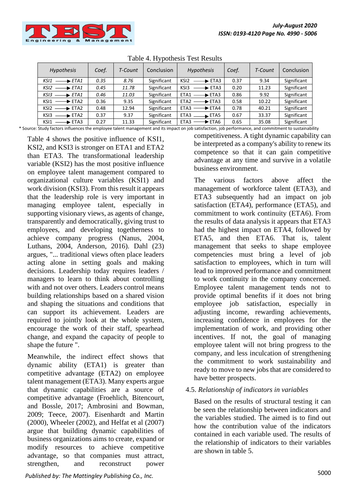

| Table +. IT y pothesis Test Results |       |         |             |                                                |       |         |             |
|-------------------------------------|-------|---------|-------------|------------------------------------------------|-------|---------|-------------|
| <b>Hypothesis</b>                   | Coef. | T-Count | Conclusion  | <b>Hypothesis</b>                              | Coef. | T-Count | Conclusion  |
| KSI1<br>$\longrightarrow$ ETA1      | 0.35  | 8.76    | Significant | KSI <sub>2</sub><br>$\blacktriangleright$ ETA3 | 0.37  | 9.34    | Significant |
| KSI2<br>$\longrightarrow$ ETA1      | 0.45  | 11.78   | Significant | KS <sub>13</sub><br>$\blacktriangleright$ ETA3 | 0.20  | 11.23   | Significant |
| $KS13 \longrightarrow ETA1$         | 0.46  | 11.03   | Significant | $ETA1 \longrightarrow ETA3$                    | 0.86  | 9.92    | Significant |
| KSI1<br>$\longrightarrow$ ETA2      | 0.36  | 9.35    | Significant | $ETA2 \longrightarrow ETA3$                    | 0.58  | 10.22   | Significant |
| $KSI2 \longrightarrow ETA2$         | 0.48  | 12.94   | Significant | ETA3<br>$\rightarrow$ ETA4                     | 0.78  | 40.21   | Significant |
| $KS13$ $\longrightarrow$ ETA2       | 0.37  | 9.37    | Significant | ETA3<br>$\rightarrow$ ETA5                     | 0.67  | 33.37   | Significant |
| KSI1<br>$\longrightarrow$ ETA3      | 0.27  | 11.33   | Significant | $\blacktriangleright$ ETA6<br>ETA3             | 0.65  | 35.08   | Significant |

Table 4. Hypothesis Test Results

\* Source: Study factors influences the employee talent management and its impact on job satisfaction, job performance, and commitment to sustainability

Table 4 shows the positive influence of KSI1, KSI2, and KSI3 is stronger on ETA1 and ETA2 than ETA3. The transformational leadership variable (KSI2) has the most positive influence on employee talent management compared to organizational culture variables (KSI1) and work division (KSI3). From this result it appears that the leadership role is very important in managing employee talent, especially in supporting visionary views, as agents of change, transparently and democratically, giving trust to employees, and developing togetherness to achieve company progress (Nanus, 2004, Luthans, 2004, Anderson, 2016). Dahl (23) argues, "... traditional views often place leaders acting alone in setting goals and making decisions. Leadership today requires leaders / managers to learn to think about controlling with and not over others. Leaders control means building relationships based on a shared vision and shaping the situations and conditions that can support its achievement. Leaders are required to jointly look at the whole system, encourage the work of their staff, spearhead change, and expand the capacity of people to shape the future ".

Meanwhile, the indirect effect shows that dynamic ability (ETA1) is greater than competitive advantage (ETA2) on employee talent management (ETA3). Many experts argue that dynamic capabilities are a source of competitive advantage (Froehlich, Bitencourt, and Bossle, 2017; Ambrosini and Bowman, 2009; Teece, 2007). Eisenhardt and Martin (2000), Wheeler (2002), and Helfat et al (2007) argue that building dynamic capabilities of business organizations aims to create, expand or modify resources to achieve competitive advantage, so that companies must attract, strengthen, and reconstruct power

competitiveness. A tight dynamic capability can be interpreted as a company's ability to renew its competence so that it can gain competitive advantage at any time and survive in a volatile business environment.

The various factors above affect the management of workforce talent (ETA3), and ETA3 subsequently had an impact on job satisfaction (ETA4), performance (ETA5), and commitment to work continuity (ETA6). From the results of data analysis it appears that ETA3 had the highest impact on ETA4, followed by ETA5, and then ETA6. That is, talent management that seeks to shape employee competencies must bring a level of job satisfaction to employees, which in turn will lead to improved performance and commitment to work continuity in the company concerned. Employee talent management tends not to provide optimal benefits if it does not bring employee job satisfaction, especially in adjusting income, rewarding achievements, increasing confidence in employees for the implementation of work, and providing other incentives. If not, the goal of managing employee talent will not bring progress to the company, and less inculcation of strengthening the commitment to work sustainability and ready to move to new jobs that are considered to have better prospects.

#### 4.5. *Relationship of indicators in variables*

Based on the results of structural testing it can be seen the relationship between indicators and the variables studied. The aimed is to find out how the contribution value of the indicators contained in each variable used. The results of the relationship of indicators to their variables are shown in table 5.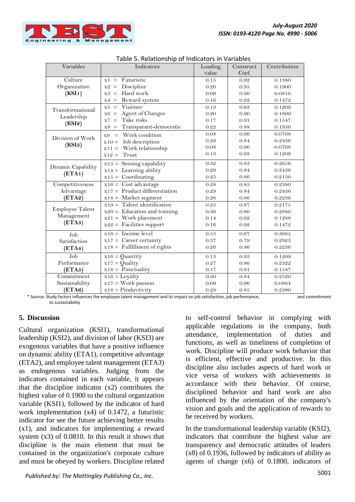

| Variables          | rabic 5. Relationship or malcators in variables<br>Indicators | Loading  | Construct | Contribution |
|--------------------|---------------------------------------------------------------|----------|-----------|--------------|
|                    |                                                               | value    | Coef.     |              |
| Culture            | Futuristic<br>$x1 =$                                          | 0.15     | 0.92      | 0.1380       |
| Organization       | Discipline<br>$x2 =$                                          | 0.20     | 0.95      | 0.1900       |
| (KSI1)             | Hard work<br>$x3 =$                                           | 0.09     | 0.90      | 0.0810       |
|                    | Reward system<br>$x4 =$                                       | 0.16     | 0.92      | 0.1472       |
| Transformational   | Visioner<br>$x5 =$                                            | 0.13     | 0.93      | 0.1209       |
| Leadership         | Agent of Changes<br>$x6 =$                                    | 0.20     | 0.90      | 0.1800       |
| (KSI2)             | Take risks<br>$x7 =$                                          | 0.17     | 0.91      | 0.1547       |
|                    | Transparant-democratic<br>$x8 =$                              | 0.22     | 0.88      | 0.1936       |
|                    | Work condition<br>$x9 =$                                      | 0.08     | 0.96      | 0.0768       |
| Division of Work   | Job description<br>$x10 =$                                    | 0.29     | 0.84      | 0.2436       |
| (KSI3)             | Work relationship<br>$x11 =$                                  | 0.08     | 0.96      | 0.0768       |
|                    | Trust<br>$x12 =$                                              | 0.13     | 0.93      | 0.1209       |
| Dinamic Capability | $x13 =$ Sensing capability                                    | 0.32     | 0.83      | 0.2656       |
|                    | $x14 =$ Learning ability                                      | 0.29     | 0.84      | 0.2436       |
| (ETA1)             | $x15 =$ Coordinating                                          | 0.25     | 0.86      | 0.2150       |
| Competitiveness    | $x16 = \text{Cost advantage}$                                 | 0.28     | $0.85\,$  | 0.2380       |
| Advantage          | $x17 =$ Product differentiation                               | 0.29     | 0.84      | 0.2436       |
| (ETA2)             | $x18 =$ Market segment                                        | 0.26     | 0.86      | 0.2236       |
|                    | $x19 =$ Talent identification                                 | 0.25     | 0.87      | 0.2175       |
| Employee Talent    | $x20 =$ Education and training                                | 0.36     | 0.80      | 0.2880       |
| Management         | $x21 = Work placement$                                        | 0.14     | 0.92      | 0.1288       |
| (ETA3)             | $x22 =$ Facilities support                                    | 0.16     | 0.92      | 0.1472       |
| Job                | $x16 =$ Income level                                          | 0.55     | 0.67      | 0.3685       |
| Satisfaction       | $x17 =$ Career certainty                                      | 0.37     | 0.79      | 0.2923       |
| (ETA4)             | $x18 =$ Fullfilment of rights                                 | $0.26\,$ | 0.86      | 0.2236       |
| Job                | $x16 =$ Quantity                                              | 0.13     | 0.93      | 0.1209       |
| Performance        | $x17 =$ Quality                                               | 0.27     | 0.86      | 0.2322       |
| (ETA5)             | $x18 =$ Punctuality                                           | 0.17     | 0.91      | 0.1547       |
| Commitment         | $x16 =$ Loyalty                                               | 0.30     | 0.84      | 0.2520       |
| Sustainability     | $x17 = Work$ passion                                          | 0.09     | 0.96      | 0.0864       |
| (ETA6)             | $x18 = \text{Productivity}$                                   | 0.28     | 0.85      | 0.2380       |

|  |  | Table 5. Relationship of Indicators in Variables |  |  |
|--|--|--------------------------------------------------|--|--|
|--|--|--------------------------------------------------|--|--|

 \* Source: Study factors influences the employee talent management and its impact on job satisfaction, job performance, and commitment to sustainability

# **5. Discussion**

Cultural organization (KSI1), transformational leadership (KSI2), and division of labor (KSI3) are exogenous variables that have a positive influence on dynamic ability (ETA1), competitive advantage (ETA2), and employee talent management (ETA3) as endogenous variables. Judging from the indicators contained in each variable, it appears that the discipline indicator  $(x2)$  contributes the highest value of 0.1900 to the cultural organization variable (KSI1), followed by the indicator of hard work implementation (x4) of 0.1472, a futuristic indicator for see the future achieving better results (x1), and indicators for implementing a reward system (x3) of 0.0810. In this result it shows that discipline is the main element that must be contained in the organization's corporate culture and must be obeyed by workers. Discipline related to self-control behavior in complying with applicable regulations in the company, both attendance, implementation of duties and functions, as well as timeliness of completion of work. Discipline will produce work behavior that is efficient, effective and productive. In this discipline also includes aspects of hard work or vice versa of workers with achievements in accordance with their behavior. Of course, disciplined behavior and hard work are also influenced by the orientation of the company's vision and goals and the application of rewards to be received by workers.

In the transformational leadership variable (KSI2), indicators that contribute the highest value are transparency and democratic attitudes of leaders (x8) of 0.1936, followed by indicators of ability as agents of change (x6) of 0.1800, indicators of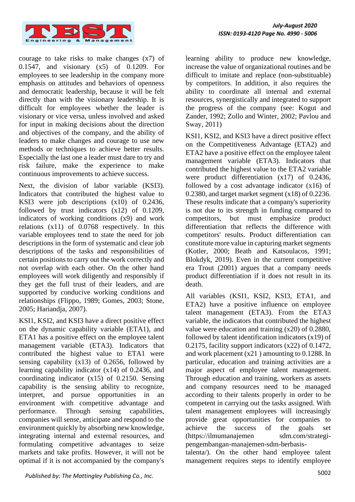

courage to take risks to make changes (x7) of 0.1547, and visionary (x5) of 0.1209. For employees to see leadership in the company more emphasis on attitudes and behaviors of openness and democratic leadership, because it will be felt directly than with the visionary leadership. It is difficult for employees whether the leader is visionary or vice versa, unless involved and asked for input in making decisions about the direction and objectives of the company, and the ability of leaders to make changes and courage to use new methods or techniques to achieve better results. Especially the last one a leader must dare to try and risk failure, make the experience to make continuous improvements to achieve success.

Next, the division of labor variable (KSI3). Indicators that contributed the highest value to KSI3 were job descriptions (x10) of 0.2436, followed by trust indicators (x12) of 0.1209, indicators of working conditions (x9) and work relations (x11) of 0.0768 respectively. In this variable employees tend to state the need for job descriptions in the form of systematic and clear job descriptions of the tasks and responsibilities of certain positions to carry out the work correctly and not overlap with each other. On the other hand employees will work diligently and responsibly if they get the full trust of their leaders, and are supported by conducive working conditions and relationships (Flippo, 1989; Gomes, 2003; Stone, 2005; Hariandja, 2007).

KSI1, KSI2, and KSI3 have a direct positive effect on the dynamic capability variable (ETA1), and ETA1 has a positive effect on the employee talent management variable (ETA3). Indicators that contributed the highest value to ETA1 were sensing capability (x13) of 0.2656, followed by learning capability indicator (x14) of 0.2436, and coordinating indicator (x15) of 0.2150. Sensing capability is the sensing ability to recognize, interpret, and pursue opportunities in an environment with competitive advantage and performance. Through sensing capabilities, companies will sense, anticipate and respond to the environment quickly by absorbing new knowledge, integrating internal and external resources, and formulating competitive advantages to seize markets and take profits. However, it will not be optimal if it is not accompanied by the company's

learning ability to produce new knowledge, increase the value of organizational routines and be difficult to imitate and replace (non-substituable) by competitors. In addition, it also requires the ability to coordinate all internal and external resources, synergistically and integrated to support the progress of the company (see: Kogut and Zander, 1992; Zollo and Winter, 2002; Pavlou and Sway, 2011)

KSI1, KSI2, and KSI3 have a direct positive effect on the Competitiveness Advantage (ETA2) and ETA2 have a positive effect on the employee talent management variable (ETA3). Indicators that contributed the highest value to the ETA2 variable were product differentiation (x17) of 0.2436, followed by a cost advantage indicator (x16) of 0.2380, and target market segment  $(x18)$  of 0.2236. These results indicate that a company's superiority is not due to its strength in funding compared to competitors, but must emphasize product differentiation that reflects the difference with competitors' results. Product differentiation can constitute more value in capturing market segments (Kotler, 2000; Beath and Katsoulacos, 1991; Blokdyk, 2019). Even in the current competitive era Trout (2001) argues that a company needs product differentiation if it does not result in its death.

All variables (KSI1, KSI2, KSI3, ETA1, and ETA2) have a positive influence on employee talent management (ETA3). From the ETA3 variable, the indicators that contributed the highest value were education and training (x20) of 0.2880, followed by talent identification indicators (x19) of 0.2175, facility support indicators (x22) of 0.1472, and work placement (x21 ) amounting to 0.1288. In particular, education and training activities are a major aspect of employee talent management. Through education and training, workers as assets and company resources need to be managed according to their talents properly in order to be competent in carrying out the tasks assigned. With talent management employees will increasingly provide great opportunities for companies to achieve the success of the goals set (https://ilmumanajemen sdm.com/strategipengembangan-manajemen-sdm-berbasis-

talenta/). On the other hand employee talent management requires steps to identify employee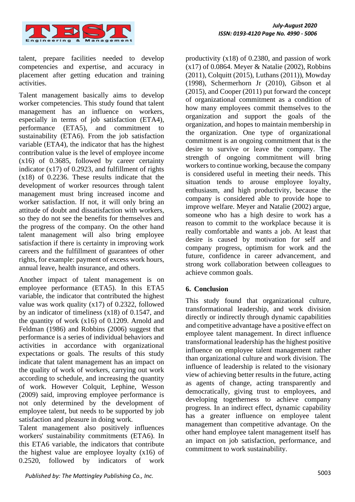

talent, prepare facilities needed to develop competencies and expertise, and accuracy in placement after getting education and training activities.

Talent management basically aims to develop worker competencies. This study found that talent management has an influence on workers, especially in terms of job satisfaction (ETA4), performance (ETA5), and commitment to sustainability (ETA6). From the job satisfaction variable (ETA4), the indicator that has the highest contribution value is the level of employee income (x16) of 0.3685, followed by career certainty indicator  $(x17)$  of 0.2923, and fulfillment of rights (x18) of 0.2236. These results indicate that the development of worker resources through talent management must bring increased income and worker satisfaction. If not, it will only bring an attitude of doubt and dissatisfaction with workers, so they do not see the benefits for themselves and the progress of the company. On the other hand talent management will also bring employee satisfaction if there is certainty in improving work careers and the fulfillment of guarantees of other rights, for example: payment of excess work hours, annual leave, health insurance, and others.

Another impact of talent management is on employee performance (ETA5). In this ETA5 variable, the indicator that contributed the highest value was work quality (x17) of 0.2322, followed by an indicator of timeliness (x18) of 0.1547, and the quantity of work (x16) of 0.1209. Arnold and Feldman (1986) and Robbins (2006) suggest that performance is a series of individual behaviors and activities in accordance with organizational expectations or goals. The results of this study indicate that talent management has an impact on the quality of work of workers, carrying out work according to schedule, and increasing the quantity of work. However Colquit, Lephine, Wesson (2009) said, improving employee performance is not only determined by the development of employee talent, but needs to be supported by job satisfaction and pleasure in doing work.

Talent management also positively influences workers' sustainability commitments (ETA6). In this ETA6 variable, the indicators that contribute the highest value are employee loyalty (x16) of 0.2520, followed by indicators of work

productivity (x18) of 0.2380, and passion of work  $(x17)$  of 0.0864. Meyer & Natalie (2002), Robbins (2011), Colquitt (2015), Luthans (2011)), Mowday (1998), Schermerhorn Jr (2010), Gibson et al (2015), and Cooper (2011) put forward the concept of organizational commitment as a condition of how many employees commit themselves to the organization and support the goals of the organization, and hopes to maintain membership in the organization. One type of organizational commitment is an ongoing commitment that is the desire to survive or leave the company. The strength of ongoing commitment will bring workers to continue working, because the company is considered useful in meeting their needs. This situation tends to arouse employee loyalty, enthusiasm, and high productivity, because the company is considered able to provide hope to improve welfare. Meyer and Natalie (2002) argue, someone who has a high desire to work has a reason to commit to the workplace because it is really comfortable and wants a job. At least that desire is caused by motivation for self and company progress, optimism for work and the future, confidence in career advancement, and strong work collaboration between colleagues to achieve common goals.

# **6. Conclusion**

This study found that organizational culture, transformational leadership, and work division directly or indirectly through dynamic capabilities and competitive advantage have a positive effect on employee talent management. In direct influence transformational leadership has the highest positive influence on employee talent management rather than organizational culture and work division. The influence of leadership is related to the visionary view of achieving better results in the future, acting as agents of change, acting transparently and democratically, giving trust to employees, and developing togetherness to achieve company progress. In an indirect effect, dynamic capability has a greater influence on employee talent management than competitive advantage. On the other hand employee talent management itself has an impact on job satisfaction, performance, and commitment to work sustainability.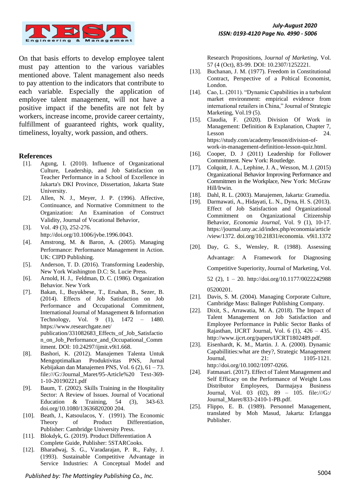

On that basis efforts to develop employee talent must pay attention to the various variables mentioned above. Talent management also needs to pay attention to the indicators that contribute to each variable. Especially the application of employee talent management, will not have a positive impact if the benefits are not felt by workers, increase income, provide career certainty, fulfillment of guaranteed rights, work quality, timeliness, loyalty, work passion, and others.

#### **References**

- [1]. Agung, I. (2010). Influence of Organizational Culture, Leadership, and Job Satisfaction on Teacher Performance in a School of Excellence in Jakarta's DKI Province, Dissertation, Jakarta State University.
- [2]. Allen, N. J., Meyer, J. P. (1996). Affective, Continuance, and Normative Commitment to the Organization: An Examination of Construct Validity, Journal of Vocational Behavior,
- [3]. Vol. 49 (3), 252-276. http://doi.org/10.1006/jvbe.1996.0043.
- [4]. Amstrong, M. & Baron, A. (2005). Managing Performance: Performance Management in Action. UK: CIPD Publishing.
- [5]. Anderson, T. D. (2016). Transforming Leadership, New York Washington D.C: St. Lucie Press.
- [6]. Arnold, H. J., Feldman, D. C. (1986). Organization Behavior. New York
- [7]. Bakan, I., Buyukbese, T., Ersahan, B., Sezer, B. (2014). Effects of Job Satisfaction on Job Performance and Occupational Commitment, International Journal of Management & Information Technology, Vol. 9 (1), 1472 – 1480. https://www.researchgate.net/ publication/331082683\_Effects\_of\_Job\_Satisfactio n\_on\_Job\_Performance\_and\_Occupational\_Comm itment. DOI: 10.24297/ijmit.v9i1.668.
- [8]. Bashori, K. (2012). Manajemen Talenta Untuk Mengoptimalkan Produktivitas PNS, Jurnal Kebijakan dan Manajemen PNS, Vol. 6 (2), 61 – 73. file:///G:/Journal\_Maret/95-Article%20 Text-369- 1-10-20190221.pdf
- [9]. Baum, T. (2002). Skills Training in the Hospitality Sector: A Review of Issues. Journal of Vocational Education & Training, 54 (3), 343-63. doi.org/10.1080/13636820200 204.
- [10]. Beath, J., Katsoulacos, Y. (1991). The Economic Theory of Product Differentiation, Publisher: Cambridge University Press.
- [11]. Blokdyk, G. (2019). Product Differentiation A Complete Guide, Publisher: 5STARCooks.
- [12]. Bharadwaj, S. G., Varadarajan, P. R., Fahy, J. (1993). Sustainable Competitive Advantage in Service Industries: A Conceptual Model and

Research Propositions, J*ournal of Marketing,* Vol. 57 (4 (Oct), 83-99. DOI: 10.2307/1252221.

- [13]. Buchanan, J. M. (1977). Freedom in Constitutional Contract, Perspective of a Poltical Economist, London.
- [14]. Cao, L. (2011). "Dynamic Capabilities in a turbulent market environment: empirical evidence from international retailers in China," Journal of Strategic Marketing, Vol.19 (5).
- [15]. Claudia, F. (2020). Division Of Work in Management: Definition & Explanation, Chapter 7, Lesson 24. https://study.com/academy/lesson/division-ofwork-in-management-definition-lesson-quiz.html.
- [16]. Cooper, D. J (2011) Leadership for Follower Commitment. New York: Routledge.
- [17]. Colquitt, J. A., Lephine, J. A., Wesson, M. J. (2015) Organizational Behavior Improving Performance and Commitmen in the Workplace, New York: McGraw Hill/Irwin.
- [18]. Dahl, R. L. (2003). Manajemen, Jakarta: Gramedia.
- [19]. Darmawati, A., Hidayati, L. N., Dyna, H. S. (2013). Effect of Job Satisfaction and Organizational Commitment on Organizational Citizenship Behavior, *Economia Journal*, Vol. 9 (1), 10-17. https://journal.uny.ac.id/index.php/economia/article /view/1372. doi.org/10.21831/economia. v9i1.1372
- [20]. Day, G. S., Wensley, R. (1988). Assessing Advantage: A Framework for Diagnosing Competitive Superiority, Journal of Marketing, Vol. 52 (2), 1 – 20. http://doi.org/10.1177/0022242988 05200201.
- [21]. Davis, S. M. (2004). Managing Corporate Culture, Cambridge Mass: Balinger Publishing Company.
- [22]. Dixit, S., Arrawatia, M. A. (2018). The Impact of Talent Management on Job Satisfaction and Employee Performance in Public Sector Banks of Rajasthan, IJCRT Journal, Vol. 6 (1), 426 – 435. http://www.ijcrt.org/papers/IJCRT1802489.pdf.
- [23]. Eisenhardt, K. M., Martin. J. A. (2000). Dynamic Capabillities:what are they?, Strategic Management Journal, 21: 1105-1121. http://doi.org/10.1002/1097-0266.
- [24]. Fatmasari. (2017). Effect of Talent Management and Self Efficacy on the Performance of Weight Loss Distributor Employees, Darmajaya Business Journal, Vol. 03 (02), 89 – 105. file:///G:/ Journal\_Maret/833-2410-1-PB.pdf.
- [25]. Flippo, E. B. (1989). Personnel Management, translated by Moh Masud, Jakarta: Erlangga Publisher.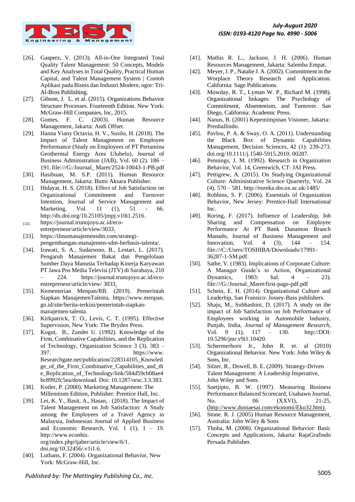

- [26]. Gasperz, V. (2013). All-in-One Integrated Total Quality Talent Management: 50 Concepts, Models and Key Analyses in Total Quality, Practical Human Capital, and Talent Management System | Contoh Aplikasi pada Bisnis dan Industri Modern, ogor: Tri-Al-Bros Publishing.
- [27]. Gibson, J. L. et al. (2015). Organizations Behavior Structure Processes. Fourteenth Edition. New York: McGraw-Hill Companies, Inc, 2015.
- [28]. Gomes, F. C. (2003). Human Resource Management, Jakarta: Andi Offset.
- [29]. Hanna Viany Octavia, H. V., Susilo, H. (2018). The Impact of Talent Management on Employee Performance (Study on Employees of PT Pertamina Geothermal Energy Area Ulubelu), Journal of Business Administration (JAB), Vol. 60 (2). 186 – 191. file:///G:/Journal\_ Maret/2524-10043-1-PB.pdf
- [30]. Hasibuan, M. S.P. (2011). Human Resource Management, Jakarta: Bumi Aksara Publisher.
- [31]. Hidayat, H. S. (2018). Effect of Job Satisfaction on Organizational Commitment and Turnover Intention, Journal of Service Management and Marketing, Vol. 11 (1), 51 - 66. http://dx.doi.org/10.25105/jmpj.v10i1.2516.
- [32]. https://journal.trunojoyo.ac.id/ecoentrepreneur/article/view/3033.
- [33]. https://ilmumanajemensdm.com/strategipengembangan-manajemen-sdm-berbasis-talenta/.
- [34]. Irawati, S. A., Sudarsono, B., Lestari, L. (2017). Pengaruh Manajemen Bakat dan Pengelolaan Sumber Daya Manusia Terhadap Kinerja Karyawan PT Jawa Pos Media Televisi (JTV) di Surabaya, 210 – 224. https://journal.trunojoyo.ac.id/ecoentrepreneur/article/view/ 3033.
- [35]. Kementerian Menpan/RB. (2019). Pemerintah Siapkan ManajemenTalenta. https://www.menpan. go.id/site/berita-terkini/pemerintah-siapkanmanajemen-talenta.
- [36]. Kirkpatrick, T. O., Levis, C. T. (1995). Effective Supervision, New York: The Bryden Press.
- [37]. Kogut, B., Zander U. (1992). Knowledge of the Firm, Combinative Capabilities, and the Replication of Technology, Organization Science 3 (3). 383 – 397. https://www. Researchgate.net/publication/228314105\_Knowled ge of the Firm Combinative Capabilities and the e Replication of Technology/link/584d59cb08ae4 bc8992fc5ea/download. Doi: 10.1287/orsc.3.3.383.
- [38]. Kotler, P. (2000). Marketing Management: The Millennium Edition, Publisher: Prentice Hall, Inc.
- [39]. Lei, K. Y., Basit, A., Hasan, . (2018). The Impact of Talent Management on Job Satisfaction: A Study among the Employees of a Travel Agency in Malaysia, Indonesian Journal of Applied Business and Economic Research, Vol. 1  $(1)$ , 1 – 19. http://www.econbiz. org/index.php/ijaber/article/view/6/1. doi.org/10.32456/.v1i1.6.
- [40]. Luthans, F. (2004). Organizational Behavior, New York: McGraw-Hill, Inc.
- [41]. Mathis R. L., Jackson, J. H. (2006). Human Resources Management, Jakarta: Salemba Empat.
- [42]. Meyer, J. P., Natalie J. A. (2002). Commitment in the Worplace Theory Research and Application. California: Sage Publications.
- [43]. Mowday, R. T., Lyman W. P., Richard M. (1998). Organizational linkages: The Psychology of Commitment, Absenteeism, and Turnover. San Diego, California: Academic Press.
- [44]. Nanus, B. (2001) Kepemimpinan Visioner, Jakarta: Prenhallindo.
- [45]. Pavlou, P. A. & Sway, O. A. (2011). Understanding the Black Box of Dynamic Capabilities Management, Decision Sciences, 42 (1): 239-273. doi.org/10.1111/j.1540-5915.2010. 00287.
- [46]. Pennings, J. M. (1992). Research in Organization Behavior, Vol. 14, Greenwich, CT: JAI Press.
- [47]. Pettigrew, A. (2015). On Studying Organizational Culture: Administrative Science Quarterly, Vol. 24 (4), 570 – 581. http://eureka.sbs.ox.ac.uk/1485/
- [48]. Robbins, S. P. (2006). Essentials of Organization Behavior*,* New Jersey: Prentice-Hall International Inc.
- [49]. Roring, F. (2017). Influence of Leadership, Job Sharing and Compensation on Employee Performance At PT Bank Danamon Branch Manado, Journal of Business Management and Innovation, Vol. 4 (3), 144 – 154. file:///C:/Users/TOSHIBA/Downloads/17991- 36287-1-SM.pdf.
- [50]. Sathe, V. (1983). Implications of Corporate Culture: A Manager Guide's to Action, Organizational Dynamics, 1983: hal. 4 – 23). file:///G:/Journal\_Maret/first-page-pdf.pdf
- [51]. Schein, E. H. (2014). Organizational Culture and Leaderhip, San Fransico: Jossey-Bass publishers.
- [52]. Shaju, M., Subhashini, D. (2017). A study on the impact of Job Satisfaction on Job Performance of Employees working in Automobile Industry, Punjab, India, *Journal of Management Research*, Vol. 9 (1), 117 – 130. http://DOI: 10.5296/jmr.v9i1.10420.
- [53]. Schermerhorn Jr., John R. et. al (2010) Organizational Behavior. New York: John Wiley & Sons, Inc.
- [54]. Silzer, R., Dowell, B. E. (2009). Strategy-Driven Talent Management: A Leadership Imperative, John Wiley and Sons.
- [55]. Soetjipto, B. W. (1997). Measuring Business Performance Balanced Scorecard, Usahawn Journal, No. 06 (XXVI), 21-25, (http://www.duniaesai.com/ekonomi/Eko32.htm).
- [56]. Stone. R. J. (2005) Human Resource Management, Australia: John Wiley & Sons
- [57]. Thoha, M. (2008). Organizational Behavior: Basic Concepts and Applications, Jakarta: RajaGrafindo Persada Publisher.